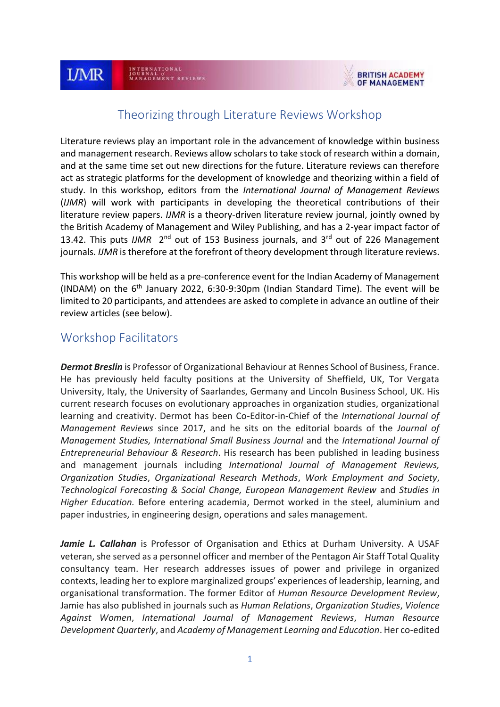

# Theorizing through Literature Reviews Workshop

Literature reviews play an important role in the advancement of knowledge within business and management research. Reviews allow scholars to take stock of research within a domain, and at the same time set out new directions for the future. Literature reviews can therefore act as strategic platforms for the development of knowledge and theorizing within a field of study. In this workshop, editors from the *International Journal of Management Reviews* (*IJMR*) will work with participants in developing the theoretical contributions of their literature review papers. *IJMR* is a theory-driven literature review journal, jointly owned by the British Academy of Management and Wiley Publishing, and has a 2-year impact factor of 13.42. This puts *IJMR* 2<sup>nd</sup> out of 153 Business journals, and 3<sup>rd</sup> out of 226 Management journals. *IJMR* is therefore at the forefront of theory development through literature reviews.

This workshop will be held as a pre-conference event for the Indian Academy of Management (INDAM) on the 6th January 2022, 6:30-9:30pm (Indian Standard Time). The event will be limited to 20 participants, and attendees are asked to complete in advance an outline of their review articles (see below).

# Workshop Facilitators

*Dermot Breslin* is Professor of Organizational Behaviour at Rennes School of Business, France. He has previously held faculty positions at the University of Sheffield, UK, Tor Vergata University, Italy, the University of Saarlandes, Germany and Lincoln Business School, UK. His current research focuses on evolutionary approaches in organization studies, organizational learning and creativity. Dermot has been Co-Editor-in-Chief of the *International Journal of Management Reviews* since 2017, and he sits on the editorial boards of the *Journal of Management Studies, International Small Business Journal* and the *International Journal of Entrepreneurial Behaviour & Research*. His research has been published in leading business and management journals including *International Journal of Management Reviews, Organization Studies*, *Organizational Research Methods*, *Work Employment and Society*, *Technological Forecasting & Social Change, European Management Review* and *Studies in Higher Education.* Before entering academia, Dermot worked in the steel, aluminium and paper industries, in engineering design, operations and sales management.

*Jamie L. Callahan* is Professor of Organisation and Ethics at Durham University. A USAF veteran, she served as a personnel officer and member of the Pentagon Air Staff Total Quality consultancy team. Her research addresses issues of power and privilege in organized contexts, leading her to explore marginalized groups' experiences of leadership, learning, and organisational transformation. The former Editor of *Human Resource Development Review*, Jamie has also published in journals such as *Human Relations*, *Organization Studies*, *Violence Against Women*, *International Journal of Management Reviews*, *Human Resource Development Quarterly*, and *Academy of Management Learning and Education*. Her co-edited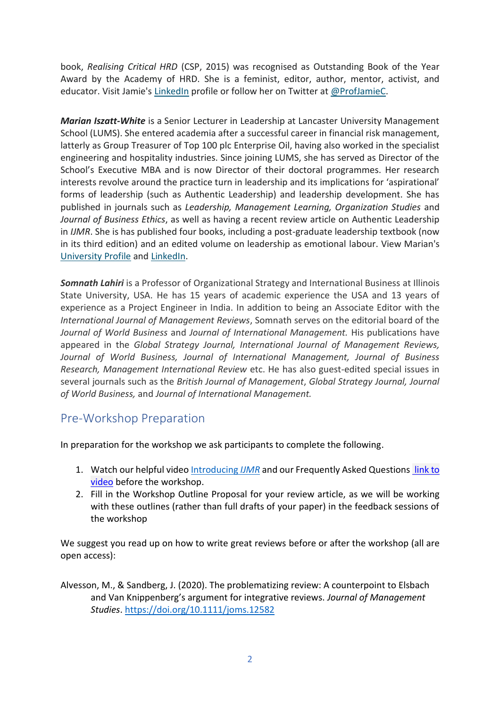book, *Realising Critical HRD* (CSP, 2015) was recognised as Outstanding Book of the Year Award by the Academy of HRD. She is a feminist, editor, author, mentor, activist, and educator. Visit Jamie's [LinkedIn](https://www.linkedin.com/in/jamie-callahan-8703b31/%C2%A0) profile or follow her on Twitter at [@ProfJamieC.](https://twitter.com/profjamiec)

*Marian Iszatt-White* is a Senior Lecturer in Leadership at Lancaster University Management School (LUMS). She entered academia after a successful career in financial risk management, latterly as Group Treasurer of Top 100 plc Enterprise Oil, having also worked in the specialist engineering and hospitality industries. Since joining LUMS, she has served as Director of the School's Executive MBA and is now Director of their doctoral programmes. Her research interests revolve around the practice turn in leadership and its implications for 'aspirational' forms of leadership (such as Authentic Leadership) and leadership development. She has published in journals such as *Leadership, Management Learning, Organization Studies* and *Journal of Business Ethics*, as well as having a recent review article on Authentic Leadership in *IJMR*. She is has published four books, including a post-graduate leadership textbook (now in its third edition) and an edited volume on leadership as emotional labour. View Marian's [University Profile](https://urldefense.com/v3/__https:/www.lancaster.ac.uk/lums/people/marian-iszatt-white__;!!N11eV2iwtfs!_dAPzcB764X5-9PGES-pWUFHertA2F1saykimvY8b33cSxK2d1SjDteVTvZt4pQ$) and [LinkedIn.](https://urldefense.com/v3/__https:/www.linkedin.com/in/marian-iszatt-white-423aa21/__;!!N11eV2iwtfs!_dAPzcB764X5-9PGES-pWUFHertA2F1saykimvY8b33cSxK2d1SjDteVonRlLqM$)

*Somnath Lahiri* is a Professor of Organizational Strategy and International Business at Illinois State University, USA. He has 15 years of academic experience the USA and 13 years of experience as a Project Engineer in India. In addition to being an Associate Editor with the *International Journal of Management Reviews*, Somnath serves on the editorial board of the *Journal of World Business* and *Journal of International Management.* His publications have appeared in the *Global Strategy Journal, International Journal of Management Reviews, Journal of World Business, Journal of International Management, Journal of Business Research, Management International Review* etc. He has also guest-edited special issues in several journals such as the *British Journal of Management*, *Global Strategy Journal, Journal of World Business,* and *Journal of International Management.*

# Pre-Workshop Preparation

In preparation for the workshop we ask participants to complete the following.

- 1. Watch our helpful video [Introducing](https://youtu.be/HxJXt1i3zfU) *IJMR* and our Frequently Asked Question[s link to](https://britishacademyofmanagement.sharepoint.com/:v:/s/BAM2020/EZ7iT7GthClKvHSi-uPVqx4BeFT-XD7YHfKoUd3WcI3-JA?e=ncOOEP)  [video](https://britishacademyofmanagement.sharepoint.com/:v:/s/BAM2020/EZ7iT7GthClKvHSi-uPVqx4BeFT-XD7YHfKoUd3WcI3-JA?e=ncOOEP) before the workshop.
- 2. Fill in the Workshop Outline Proposal for your review article, as we will be working with these outlines (rather than full drafts of your paper) in the feedback sessions of the workshop

We suggest you read up on how to write great reviews before or after the workshop (all are open access):

Alvesson, M., & Sandberg, J. (2020). The problematizing review: A counterpoint to Elsbach and Van Knippenberg's argument for integrative reviews. *Journal of Management Studies*. <https://doi.org/10.1111/joms.12582>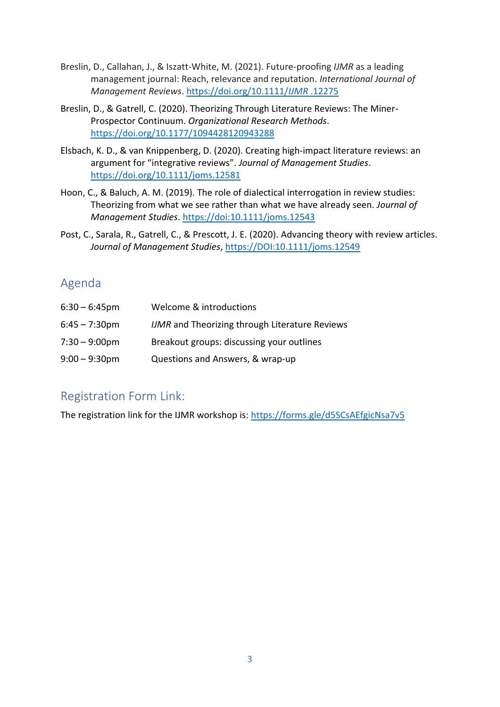- Breslin, D., Callahan, J., & Iszatt-White, M. (2021). Future-proofing *IJMR* as a leading management journal: Reach, relevance and reputation. *International Journal of Management Reviews*. [https://doi.org/10.1111/](https://doi.org/10.1111/ijmr.12275)*IJMR* .12275
- Breslin, D., & Gatrell, C. (2020). Theorizing Through Literature Reviews: The Miner-Prospector Continuum. *Organizational Research Methods*. [https://doi.org/10.1177/1094428120943288](https://doi.org/10.1177%2F1094428120943288)
- Elsbach, K. D., & van Knippenberg, D. (2020). Creating high‐impact literature reviews: an argument for "integrative reviews". *Journal of Management Studies*. <https://doi.org/10.1111/joms.12581>
- Hoon, C., & Baluch, A. M. (2019). The role of dialectical interrogation in review studies: Theorizing from what we see rather than what we have already seen. *Journal of Management Studies*.<https://doi:10.1111/joms.12543>
- Post, C., Sarala, R., Gatrell, C., & Prescott, J. E. (2020). Advancing theory with review articles. *Journal of Management Studies*,<https://DOI:10.1111/joms.12549>

# Agenda

| $6:30 - 6:45$ pm        | Welcome & introductions                               |
|-------------------------|-------------------------------------------------------|
| $6:45 - 7:30$ pm        | <b>IJMR</b> and Theorizing through Literature Reviews |
| $7:30 - 9:00 \text{pm}$ | Breakout groups: discussing your outlines             |
| $9:00 - 9:30$ pm        | Questions and Answers, & wrap-up                      |

# Registration Form Link:

The registration link for the IJMR workshop is:<https://forms.gle/d5SCsAEfgicNsa7v5>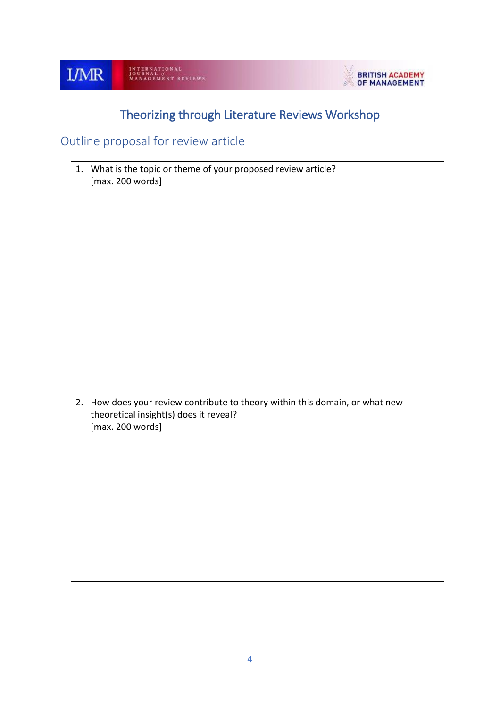

# Theorizing through Literature Reviews Workshop

Outline proposal for review article

1. What is the topic or theme of your proposed review article? [max. 200 words]

2. How does your review contribute to theory within this domain, or what new theoretical insight(s) does it reveal? [max. 200 words]